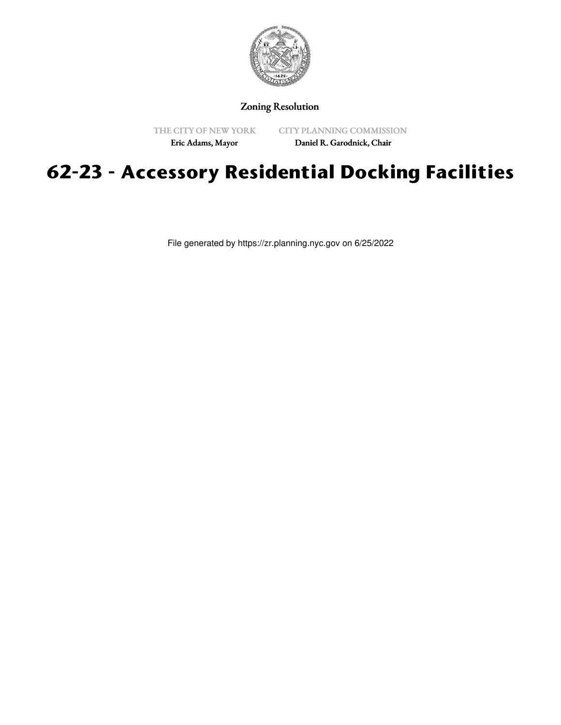

## Zoning Resolution

THE CITY OF NEW YORK

CITY PLANNING COMMISSION

Eric Adams, Mayor

Daniel R. Garodnick, Chair

# **62-23 - Accessory Residential Docking Facilities**

File generated by https://zr.planning.nyc.gov on 6/25/2022